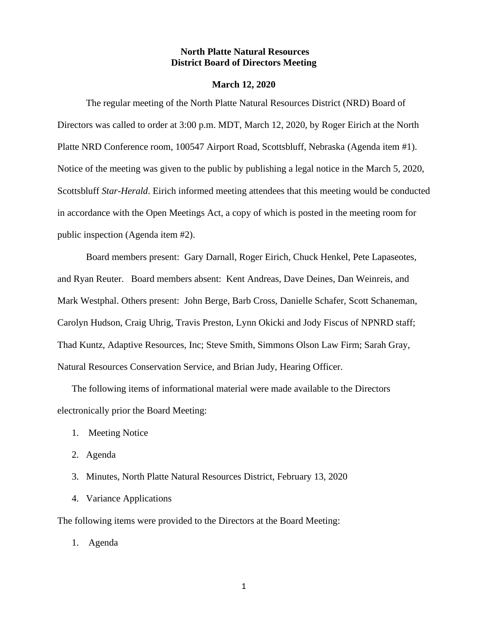### **North Platte Natural Resources District Board of Directors Meeting**

#### **March 12, 2020**

The regular meeting of the North Platte Natural Resources District (NRD) Board of Directors was called to order at 3:00 p.m. MDT, March 12, 2020, by Roger Eirich at the North Platte NRD Conference room, 100547 Airport Road, Scottsbluff, Nebraska (Agenda item #1). Notice of the meeting was given to the public by publishing a legal notice in the March 5, 2020, Scottsbluff *Star-Herald*. Eirich informed meeting attendees that this meeting would be conducted in accordance with the Open Meetings Act, a copy of which is posted in the meeting room for public inspection (Agenda item #2).

Board members present: Gary Darnall, Roger Eirich, Chuck Henkel, Pete Lapaseotes, and Ryan Reuter. Board members absent: Kent Andreas, Dave Deines, Dan Weinreis, and Mark Westphal. Others present: John Berge, Barb Cross, Danielle Schafer, Scott Schaneman, Carolyn Hudson, Craig Uhrig, Travis Preston, Lynn Okicki and Jody Fiscus of NPNRD staff; Thad Kuntz, Adaptive Resources, Inc; Steve Smith, Simmons Olson Law Firm; Sarah Gray, Natural Resources Conservation Service, and Brian Judy, Hearing Officer.

The following items of informational material were made available to the Directors electronically prior the Board Meeting:

- 1. Meeting Notice
- 2. Agenda
- 3. Minutes, North Platte Natural Resources District, February 13, 2020
- 4. Variance Applications

The following items were provided to the Directors at the Board Meeting:

1. Agenda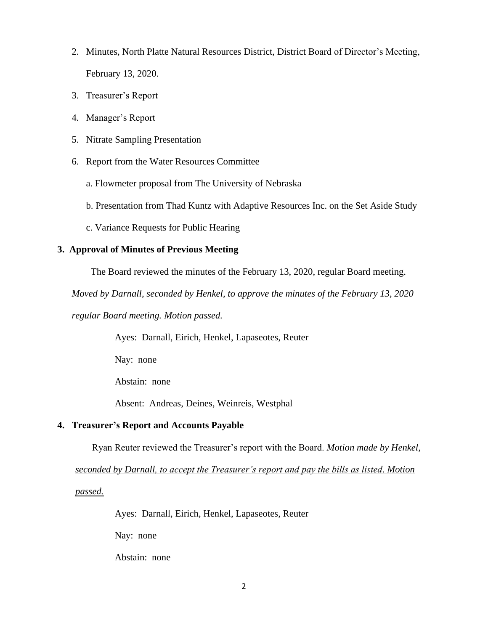- 2. Minutes, North Platte Natural Resources District, District Board of Director's Meeting, February 13, 2020.
- 3. Treasurer's Report
- 4. Manager's Report
- 5. Nitrate Sampling Presentation
- 6. Report from the Water Resources Committee
	- a. Flowmeter proposal from The University of Nebraska
	- b. Presentation from Thad Kuntz with Adaptive Resources Inc. on the Set Aside Study
	- c. Variance Requests for Public Hearing

# **3. Approval of Minutes of Previous Meeting**

The Board reviewed the minutes of the February 13, 2020, regular Board meeting.

*Moved by Darnall, seconded by Henkel, to approve the minutes of the February 13, 2020* 

## *regular Board meeting. Motion passed.*

Ayes: Darnall, Eirich, Henkel, Lapaseotes, Reuter

Nay: none

Abstain: none

Absent: Andreas, Deines, Weinreis, Westphal

## **4. Treasurer's Report and Accounts Payable**

Ryan Reuter reviewed the Treasurer's report with the Board. *Motion made by Henkel,* 

*seconded by Darnall, to accept the Treasurer's report and pay the bills as listed. Motion* 

*passed.*

Ayes: Darnall, Eirich, Henkel, Lapaseotes, Reuter

Nay: none

Abstain: none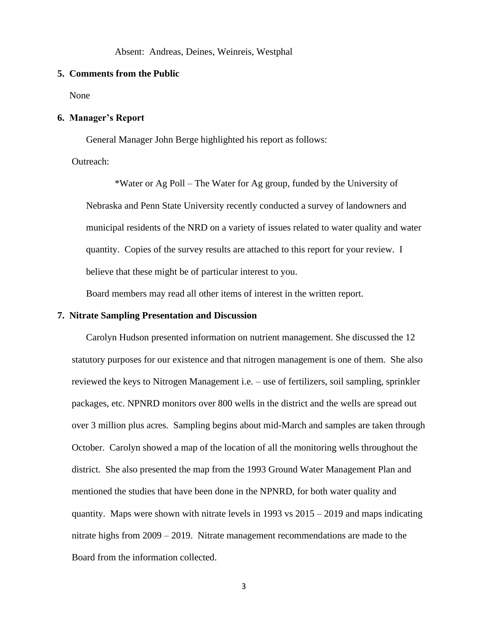Absent: Andreas, Deines, Weinreis, Westphal

#### **5. Comments from the Public**

None

### **6. Manager's Report**

General Manager John Berge highlighted his report as follows:

Outreach:

\*Water or Ag Poll – The Water for Ag group, funded by the University of Nebraska and Penn State University recently conducted a survey of landowners and municipal residents of the NRD on a variety of issues related to water quality and water quantity. Copies of the survey results are attached to this report for your review. I believe that these might be of particular interest to you.

Board members may read all other items of interest in the written report.

#### **7. Nitrate Sampling Presentation and Discussion**

Carolyn Hudson presented information on nutrient management. She discussed the 12 statutory purposes for our existence and that nitrogen management is one of them. She also reviewed the keys to Nitrogen Management i.e. – use of fertilizers, soil sampling, sprinkler packages, etc. NPNRD monitors over 800 wells in the district and the wells are spread out over 3 million plus acres. Sampling begins about mid-March and samples are taken through October. Carolyn showed a map of the location of all the monitoring wells throughout the district. She also presented the map from the 1993 Ground Water Management Plan and mentioned the studies that have been done in the NPNRD, for both water quality and quantity. Maps were shown with nitrate levels in 1993 vs 2015 – 2019 and maps indicating nitrate highs from 2009 – 2019. Nitrate management recommendations are made to the Board from the information collected.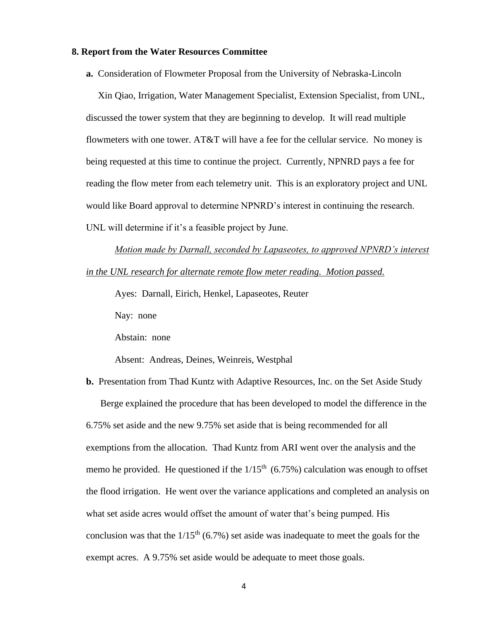### **8. Report from the Water Resources Committee**

**a.** Consideration of Flowmeter Proposal from the University of Nebraska-Lincoln

 Xin Qiao, Irrigation, Water Management Specialist, Extension Specialist, from UNL, discussed the tower system that they are beginning to develop. It will read multiple flowmeters with one tower. AT&T will have a fee for the cellular service. No money is being requested at this time to continue the project. Currently, NPNRD pays a fee for reading the flow meter from each telemetry unit. This is an exploratory project and UNL would like Board approval to determine NPNRD's interest in continuing the research. UNL will determine if it's a feasible project by June.

*Motion made by Darnall, seconded by Lapaseotes, to approved NPNRD's interest in the UNL research for alternate remote flow meter reading. Motion passed.*

Ayes: Darnall, Eirich, Henkel, Lapaseotes, Reuter

Nay: none

Abstain: none

Absent: Andreas, Deines, Weinreis, Westphal

**b.** Presentation from Thad Kuntz with Adaptive Resources, Inc. on the Set Aside Study Berge explained the procedure that has been developed to model the difference in the 6.75% set aside and the new 9.75% set aside that is being recommended for all exemptions from the allocation. Thad Kuntz from ARI went over the analysis and the memo he provided. He questioned if the  $1/15<sup>th</sup>$  (6.75%) calculation was enough to offset the flood irrigation. He went over the variance applications and completed an analysis on what set aside acres would offset the amount of water that's being pumped. His conclusion was that the  $1/15<sup>th</sup> (6.7%)$  set aside was inadequate to meet the goals for the exempt acres. A 9.75% set aside would be adequate to meet those goals.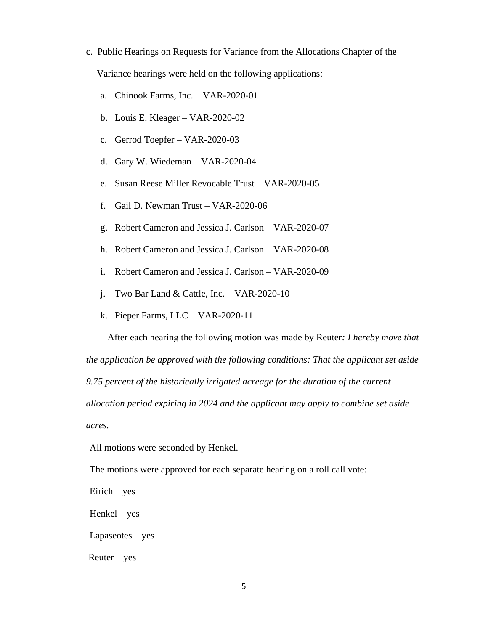- c. Public Hearings on Requests for Variance from the Allocations Chapter of the Variance hearings were held on the following applications:
	- a. Chinook Farms, Inc. VAR-2020-01
	- b. Louis E. Kleager VAR-2020-02
	- c. Gerrod Toepfer VAR-2020-03
	- d. Gary W. Wiedeman VAR-2020-04
	- e. Susan Reese Miller Revocable Trust VAR-2020-05
	- f. Gail D. Newman Trust VAR-2020-06
	- g. Robert Cameron and Jessica J. Carlson VAR-2020-07
	- h. Robert Cameron and Jessica J. Carlson VAR-2020-08
	- i. Robert Cameron and Jessica J. Carlson VAR-2020-09
	- j. Two Bar Land & Cattle, Inc. VAR-2020-10
	- k. Pieper Farms, LLC VAR-2020-11

 After each hearing the following motion was made by Reuter*: I hereby move that the application be approved with the following conditions: That the applicant set aside 9.75 percent of the historically irrigated acreage for the duration of the current allocation period expiring in 2024 and the applicant may apply to combine set aside acres.*

All motions were seconded by Henkel.

The motions were approved for each separate hearing on a roll call vote:

Eirich – yes

Henkel – yes

Lapaseotes – yes

 $R$ euter – yes